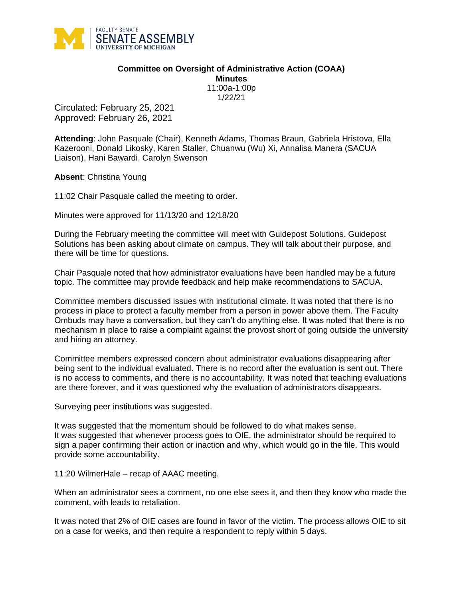

## **Committee on Oversight of Administrative Action (COAA) Minutes**

11:00a-1:00p 1/22/21

Circulated: February 25, 2021 Approved: February 26, 2021

**Attending**: John Pasquale (Chair), Kenneth Adams, Thomas Braun, Gabriela Hristova, Ella Kazerooni, Donald Likosky, Karen Staller, Chuanwu (Wu) Xi, Annalisa Manera (SACUA Liaison), Hani Bawardi, Carolyn Swenson

**Absent**: Christina Young

11:02 Chair Pasquale called the meeting to order.

Minutes were approved for 11/13/20 and 12/18/20

During the February meeting the committee will meet with Guidepost Solutions. Guidepost Solutions has been asking about climate on campus. They will talk about their purpose, and there will be time for questions.

Chair Pasquale noted that how administrator evaluations have been handled may be a future topic. The committee may provide feedback and help make recommendations to SACUA.

Committee members discussed issues with institutional climate. It was noted that there is no process in place to protect a faculty member from a person in power above them. The Faculty Ombuds may have a conversation, but they can't do anything else. It was noted that there is no mechanism in place to raise a complaint against the provost short of going outside the university and hiring an attorney.

Committee members expressed concern about administrator evaluations disappearing after being sent to the individual evaluated. There is no record after the evaluation is sent out. There is no access to comments, and there is no accountability. It was noted that teaching evaluations are there forever, and it was questioned why the evaluation of administrators disappears.

Surveying peer institutions was suggested.

It was suggested that the momentum should be followed to do what makes sense. It was suggested that whenever process goes to OIE, the administrator should be required to sign a paper confirming their action or inaction and why, which would go in the file. This would provide some accountability.

11:20 WilmerHale – recap of AAAC meeting.

When an administrator sees a comment, no one else sees it, and then they know who made the comment, with leads to retaliation.

It was noted that 2% of OIE cases are found in favor of the victim. The process allows OIE to sit on a case for weeks, and then require a respondent to reply within 5 days.